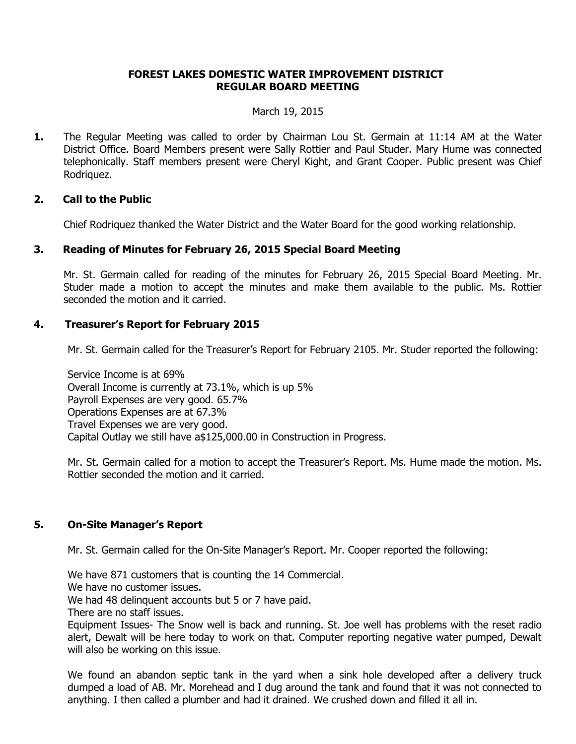# **FOREST LAKES DOMESTIC WATER IMPROVEMENT DISTRICT REGULAR BOARD MEETING**

#### March 19, 2015

**1.** The Regular Meeting was called to order by Chairman Lou St. Germain at 11:14 AM at the Water District Office. Board Members present were Sally Rottier and Paul Studer. Mary Hume was connected telephonically. Staff members present were Cheryl Kight, and Grant Cooper. Public present was Chief Rodriquez.

### **2. Call to the Public**

Chief Rodriquez thanked the Water District and the Water Board for the good working relationship.

# **3. Reading of Minutes for February 26, 2015 Special Board Meeting**

Mr. St. Germain called for reading of the minutes for February 26, 2015 Special Board Meeting. Mr. Studer made a motion to accept the minutes and make them available to the public. Ms. Rottier seconded the motion and it carried.

# **4. Treasurer's Report for February 2015**

Mr. St. Germain called for the Treasurer's Report for February 2105. Mr. Studer reported the following:

Service Income is at 69% Overall Income is currently at 73.1%, which is up 5% Payroll Expenses are very good. 65.7% Operations Expenses are at 67.3% Travel Expenses we are very good. Capital Outlay we still have a\$125,000.00 in Construction in Progress.

Mr. St. Germain called for a motion to accept the Treasurer's Report. Ms. Hume made the motion. Ms. Rottier seconded the motion and it carried.

# **5. On-Site Manager's Report**

Mr. St. Germain called for the On-Site Manager's Report. Mr. Cooper reported the following:

We have 871 customers that is counting the 14 Commercial.

We have no customer issues.

We had 48 delinquent accounts but 5 or 7 have paid.

There are no staff issues.

Equipment Issues- The Snow well is back and running. St. Joe well has problems with the reset radio alert, Dewalt will be here today to work on that. Computer reporting negative water pumped, Dewalt will also be working on this issue.

We found an abandon septic tank in the yard when a sink hole developed after a delivery truck dumped a load of AB. Mr. Morehead and I dug around the tank and found that it was not connected to anything. I then called a plumber and had it drained. We crushed down and filled it all in.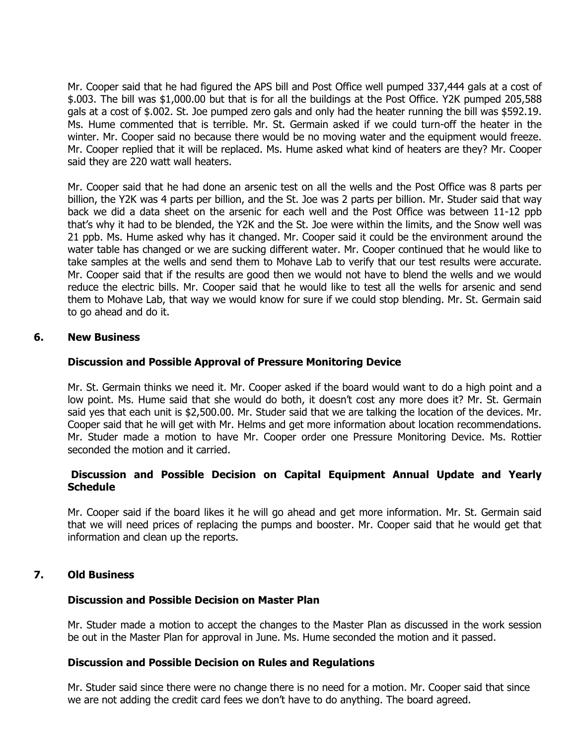Mr. Cooper said that he had figured the APS bill and Post Office well pumped 337,444 gals at a cost of \$.003. The bill was \$1,000.00 but that is for all the buildings at the Post Office. Y2K pumped 205,588 gals at a cost of \$.002. St. Joe pumped zero gals and only had the heater running the bill was \$592.19. Ms. Hume commented that is terrible. Mr. St. Germain asked if we could turn-off the heater in the winter. Mr. Cooper said no because there would be no moving water and the equipment would freeze. Mr. Cooper replied that it will be replaced. Ms. Hume asked what kind of heaters are they? Mr. Cooper said they are 220 watt wall heaters.

Mr. Cooper said that he had done an arsenic test on all the wells and the Post Office was 8 parts per billion, the Y2K was 4 parts per billion, and the St. Joe was 2 parts per billion. Mr. Studer said that way back we did a data sheet on the arsenic for each well and the Post Office was between 11-12 ppb that's why it had to be blended, the Y2K and the St. Joe were within the limits, and the Snow well was 21 ppb. Ms. Hume asked why has it changed. Mr. Cooper said it could be the environment around the water table has changed or we are sucking different water. Mr. Cooper continued that he would like to take samples at the wells and send them to Mohave Lab to verify that our test results were accurate. Mr. Cooper said that if the results are good then we would not have to blend the wells and we would reduce the electric bills. Mr. Cooper said that he would like to test all the wells for arsenic and send them to Mohave Lab, that way we would know for sure if we could stop blending. Mr. St. Germain said to go ahead and do it.

#### **6. New Business**

### **Discussion and Possible Approval of Pressure Monitoring Device**

Mr. St. Germain thinks we need it. Mr. Cooper asked if the board would want to do a high point and a low point. Ms. Hume said that she would do both, it doesn't cost any more does it? Mr. St. Germain said yes that each unit is \$2,500.00. Mr. Studer said that we are talking the location of the devices. Mr. Cooper said that he will get with Mr. Helms and get more information about location recommendations. Mr. Studer made a motion to have Mr. Cooper order one Pressure Monitoring Device. Ms. Rottier seconded the motion and it carried.

### **Discussion and Possible Decision on Capital Equipment Annual Update and Yearly Schedule**

Mr. Cooper said if the board likes it he will go ahead and get more information. Mr. St. Germain said that we will need prices of replacing the pumps and booster. Mr. Cooper said that he would get that information and clean up the reports.

### **7. Old Business**

#### **Discussion and Possible Decision on Master Plan**

Mr. Studer made a motion to accept the changes to the Master Plan as discussed in the work session be out in the Master Plan for approval in June. Ms. Hume seconded the motion and it passed.

#### **Discussion and Possible Decision on Rules and Regulations**

Mr. Studer said since there were no change there is no need for a motion. Mr. Cooper said that since we are not adding the credit card fees we don't have to do anything. The board agreed.